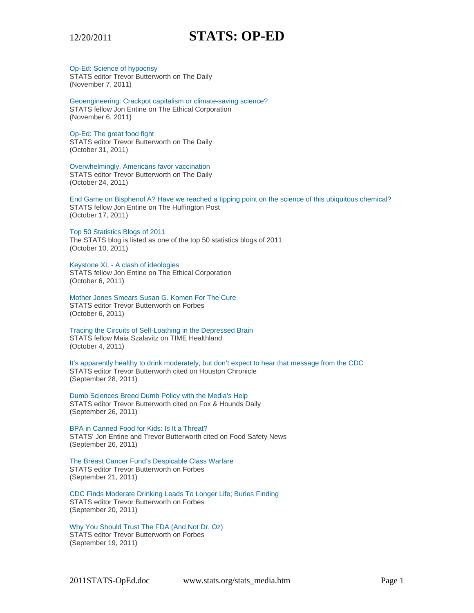### Op-Ed: Science of hypocrisy

STATS editor Trevor Butterworth on The Daily (November 7, 2011)

Geoengineering: Crackpot capitalism or climate-saving science? STATS fellow Jon Entine on The Ethical Corporation (November 6, 2011)

# Op-Ed: The great food fight

STATS editor Trevor Butterworth on The Daily (October 31, 2011)

Overwhelmingly, Americans favor vaccination STATS editor Trevor Butterworth on The Daily (October 24, 2011)

End Game on Bisphenol A? Have we reached a tipping point on the science of this ubiquitous chemical? STATS fellow Jon Entine on The Huffington Post (October 17, 2011)

#### Top 50 Statistics Blogs of 2011

The STATS blog is listed as one of the top 50 statistics blogs of 2011 (October 10, 2011)

# Keystone XL - A clash of ideologies

STATS fellow Jon Entine on The Ethical Corporation (October 6, 2011)

Mother Jones Smears Susan G. Komen For The Cure STATS editor Trevor Butterworth on Forbes (October 6, 2011)

Tracing the Circuits of Self-Loathing in the Depressed Brain STATS fellow Maia Szalavitz on TIME Healthland (October 4, 2011)

It's apparently healthy to drink moderately, but don't expect to hear that message from the CDC STATS editor Trevor Butterworth cited on Houston Chronicle (September 28, 2011)

Dumb Sciences Breed Dumb Policy with the Media's Help STATS editor Trevor Butterworth cited on Fox & Hounds Daily (September 26, 2011)

BPA in Canned Food for Kids: Is It a Threat? STATS' Jon Entine and Trevor Butterworth cited on Food Safety News (September 26, 2011)

The Breast Cancer Fund's Despicable Class Warfare STATS editor Trevor Butterworth on Forbes (September 21, 2011)

CDC Finds Moderate Drinking Leads To Longer Life; Buries Finding STATS editor Trevor Butterworth on Forbes (September 20, 2011)

Why You Should Trust The FDA (And Not Dr. Oz) STATS editor Trevor Butterworth on Forbes (September 19, 2011)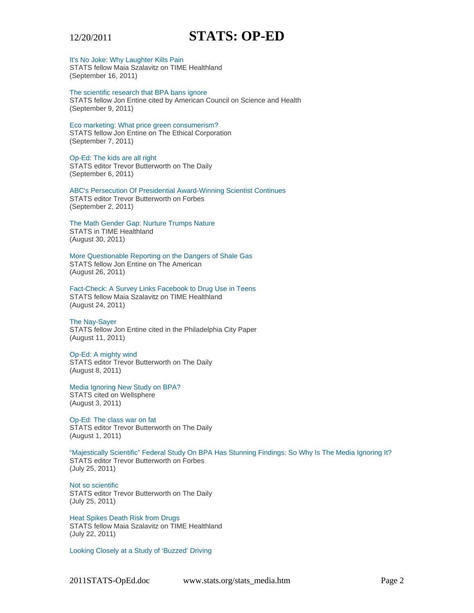

It's No Joke: Why Laughter Kills Pain

STATS fellow Maia Szalavitz on TIME Healthland (September 16, 2011)

The scientific research that BPA bans ignore STATS fellow Jon Entine cited by American Council on Science and Health (September 9, 2011)

Eco marketing: What price green consumerism?

STATS fellow Jon Entine on The Ethical Corporation (September 7, 2011)

# Op-Ed: The kids are all right

STATS editor Trevor Butterworth on The Daily (September 6, 2011)

ABC's Persecution Of Presidential Award-Winning Scientist Continues STATS editor Trevor Butterworth on Forbes (September 2, 2011)

The Math Gender Gap: Nurture Trumps Nature STATS in TIME Healthland (August 30, 2011)

More Questionable Reporting on the Dangers of Shale Gas STATS fellow Jon Entine on The American (August 26, 2011)

Fact-Check: A Survey Links Facebook to Drug Use in Teens STATS fellow Maia Szalavitz on TIME Healthland (August 24, 2011)

# The Nay-Sayer

STATS fellow Jon Entine cited in the Philadelphia City Paper (August 11, 2011)

#### Op-Ed: A mighty wind

STATS editor Trevor Butterworth on The Daily (August 8, 2011)

Media Ignoring New Study on BPA? STATS cited on Wellsphere (August 3, 2011)

Op-Ed: The class war on fat STATS editor Trevor Butterworth on The Daily (August 1, 2011)

"Majestically Scientific" Federal Study On BPA Has Stunning Findings: So Why Is The Media Ignoring It? STATS editor Trevor Butterworth on Forbes (July 25, 2011)

Not so scientific STATS editor Trevor Butterworth on The Daily (July 25, 2011)

Heat Spikes Death Risk from Drugs STATS fellow Maia Szalavitz on TIME Healthland (July 22, 2011)

Looking Closely at a Study of 'Buzzed' Driving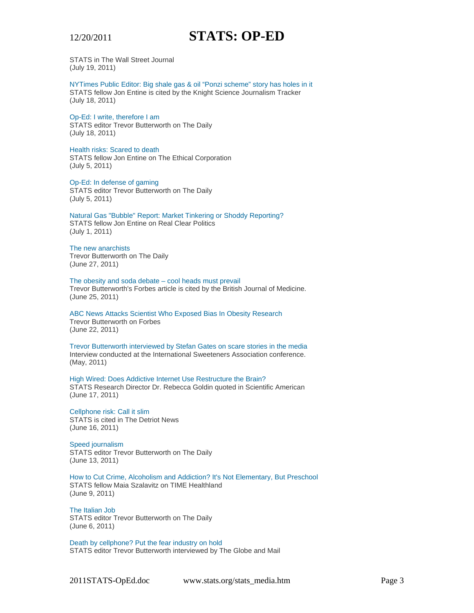

STATS in The Wall Street Journal (July 19, 2011)

NYTimes Public Editor: Big shale gas & oil "Ponzi scheme" story has holes in it STATS fellow Jon Entine is cited by the Knight Science Journalism Tracker (July 18, 2011)

### Op-Ed: I write, therefore I am

STATS editor Trevor Butterworth on The Daily (July 18, 2011)

### Health risks: Scared to death

STATS fellow Jon Entine on The Ethical Corporation (July 5, 2011)

#### Op-Ed: In defense of gaming STATS editor Trevor Butterworth on The Daily (July 5, 2011)

Natural Gas "Bubble" Report: Market Tinkering or Shoddy Reporting? STATS fellow Jon Entine on Real Clear Politics (July 1, 2011)

# The new anarchists

Trevor Butterworth on The Daily (June 27, 2011)

The obesity and soda debate – cool heads must prevail Trevor Butterworth's Forbes article is cited by the British Journal of Medicine. (June 25, 2011)

ABC News Attacks Scientist Who Exposed Bias In Obesity Research Trevor Butterworth on Forbes (June 22, 2011)

Trevor Butterworth interviewed by Stefan Gates on scare stories in the media Interview conducted at the International Sweeteners Association conference. (May, 2011)

High Wired: Does Addictive Internet Use Restructure the Brain? STATS Research Director Dr. Rebecca Goldin quoted in Scientific American (June 17, 2011)

Cellphone risk: Call it slim STATS is cited in The Detriot News (June 16, 2011)

# Speed journalism

STATS editor Trevor Butterworth on The Daily (June 13, 2011)

How to Cut Crime, Alcoholism and Addiction? It's Not Elementary, But Preschool STATS fellow Maia Szalavitz on TIME Healthland (June 9, 2011)

The Italian Job STATS editor Trevor Butterworth on The Daily (June 6, 2011)

Death by cellphone? Put the fear industry on hold STATS editor Trevor Butterworth interviewed by The Globe and Mail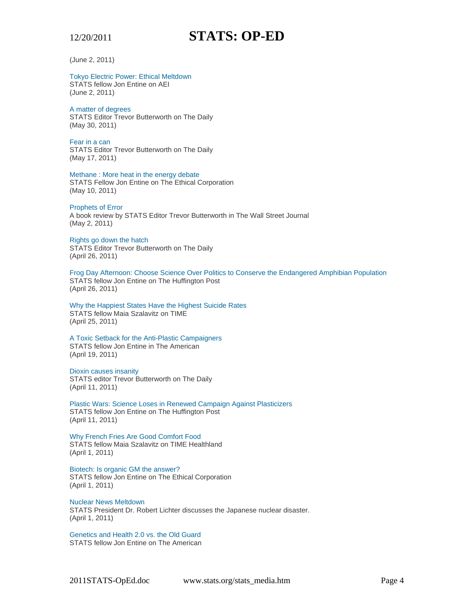(June 2, 2011)

# Tokyo Electric Power: Ethical Meltdown

STATS fellow Jon Entine on AEI (June 2, 2011)

# A matter of degrees

STATS Editor Trevor Butterworth on The Daily (May 30, 2011)

Fear in a can STATS Editor Trevor Butterworth on The Daily (May 17, 2011)

Methane : More heat in the energy debate STATS Fellow Jon Entine on The Ethical Corporation (May 10, 2011)

# Prophets of Error

A book review by STATS Editor Trevor Butterworth in The Wall Street Journal (May 2, 2011)

### Rights go down the hatch

STATS Editor Trevor Butterworth on The Daily (April 26, 2011)

Frog Day Afternoon: Choose Science Over Politics to Conserve the Endangered Amphibian Population STATS fellow Jon Entine on The Huffington Post (April 26, 2011)

Why the Happiest States Have the Highest Suicide Rates STATS fellow Maia Szalavitz on TIME (April 25, 2011)

# A Toxic Setback for the Anti-Plastic Campaigners

STATS fellow Jon Entine in The American (April 19, 2011)

# Dioxin causes insanity

STATS editor Trevor Butterworth on The Daily (April 11, 2011)

Plastic Wars: Science Loses in Renewed Campaign Against Plasticizers STATS fellow Jon Entine on The Huffington Post (April 11, 2011)

Why French Fries Are Good Comfort Food STATS fellow Maia Szalavitz on TIME Healthland (April 1, 2011)

Biotech: Is organic GM the answer? STATS fellow Jon Entine on The Ethical Corporation (April 1, 2011)

# Nuclear News Meltdown

STATS President Dr. Robert Lichter discusses the Japanese nuclear disaster. (April 1, 2011)

Genetics and Health 2.0 vs. the Old Guard STATS fellow Jon Entine on The American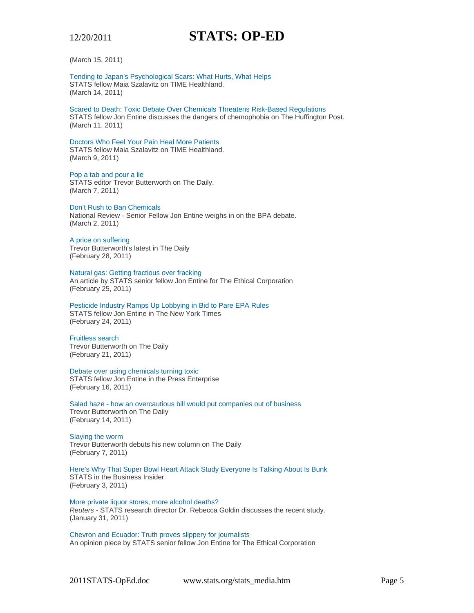(March 15, 2011)

Tending to Japan's Psychological Scars: What Hurts, What Helps STATS fellow Maia Szalavitz on TIME Healthland. (March 14, 2011)

Scared to Death: Toxic Debate Over Chemicals Threatens Risk-Based Regulations STATS fellow Jon Entine discusses the dangers of chemophobia on The Huffington Post. (March 11, 2011)

Doctors Who Feel Your Pain Heal More Patients STATS fellow Maia Szalavitz on TIME Healthland. (March 9, 2011)

Pop a tab and pour a lie STATS editor Trevor Butterworth on The Daily. (March 7, 2011)

Don't Rush to Ban Chemicals National Review - Senior Fellow Jon Entine weighs in on the BPA debate. (March 2, 2011)

A price on suffering Trevor Butterworth's latest in The Daily (February 28, 2011)

Natural gas: Getting fractious over fracking An article by STATS senior fellow Jon Entine for The Ethical Corporation (February 25, 2011)

Pesticide Industry Ramps Up Lobbying in Bid to Pare EPA Rules STATS fellow Jon Entine in The New York Times (February 24, 2011)

Fruitless search Trevor Butterworth on The Daily

(February 21, 2011) Debate over using chemicals turning toxic

STATS fellow Jon Entine in the Press Enterprise (February 16, 2011)

Salad haze - how an overcautious bill would put companies out of business Trevor Butterworth on The Daily (February 14, 2011)

Slaying the worm

Trevor Butterworth debuts his new column on The Daily (February 7, 2011)

Here's Why That Super Bowl Heart Attack Study Everyone Is Talking About Is Bunk STATS in the Business Insider. (February 3, 2011)

More private liquor stores, more alcohol deaths? *Reuters* - STATS research director Dr. Rebecca Goldin discusses the recent study. (January 31, 2011)

Chevron and Ecuador: Truth proves slippery for journalists An opinion piece by STATS senior fellow Jon Entine for The Ethical Corporation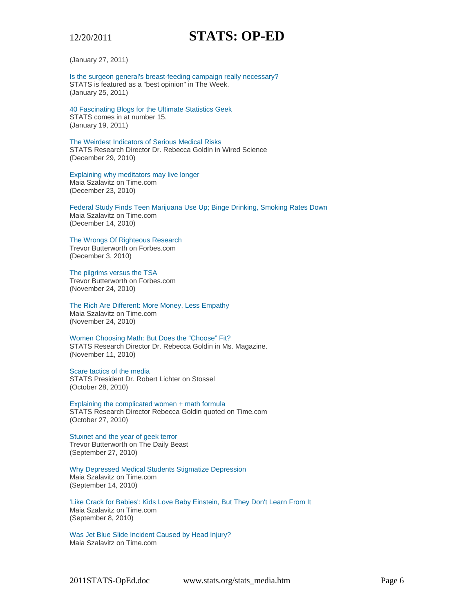(January 27, 2011)

Is the surgeon general's breast-feeding campaign really necessary? STATS is featured as a "best opinion" in The Week. (January 25, 2011)

40 Fascinating Blogs for the Ultimate Statistics Geek STATS comes in at number 15. (January 19, 2011)

The Weirdest Indicators of Serious Medical Risks STATS Research Director Dr. Rebecca Goldin in Wired Science (December 29, 2010)

Explaining why meditators may live longer Maia Szalavitz on Time.com (December 23, 2010)

Federal Study Finds Teen Marijuana Use Up; Binge Drinking, Smoking Rates Down Maia Szalavitz on Time.com (December 14, 2010)

The Wrongs Of Righteous Research Trevor Butterworth on Forbes.com

(December 3, 2010)

The pilgrims versus the TSA Trevor Butterworth on Forbes.com (November 24, 2010)

#### The Rich Are Different: More Money, Less Empathy Maia Szalavitz on Time.com (November 24, 2010)

Women Choosing Math: But Does the "Choose" Fit? STATS Research Director Dr. Rebecca Goldin in Ms. Magazine. (November 11, 2010)

Scare tactics of the media

STATS President Dr. Robert Lichter on Stossel (October 28, 2010)

Explaining the complicated women + math formula STATS Research Director Rebecca Goldin quoted on Time.com (October 27, 2010)

Stuxnet and the year of geek terror Trevor Butterworth on The Daily Beast (September 27, 2010)

Why Depressed Medical Students Stigmatize Depression Maia Szalavitz on Time.com (September 14, 2010)

'Like Crack for Babies': Kids Love Baby Einstein, But They Don't Learn From It Maia Szalavitz on Time.com (September 8, 2010)

Was Jet Blue Slide Incident Caused by Head Injury? Maia Szalavitz on Time.com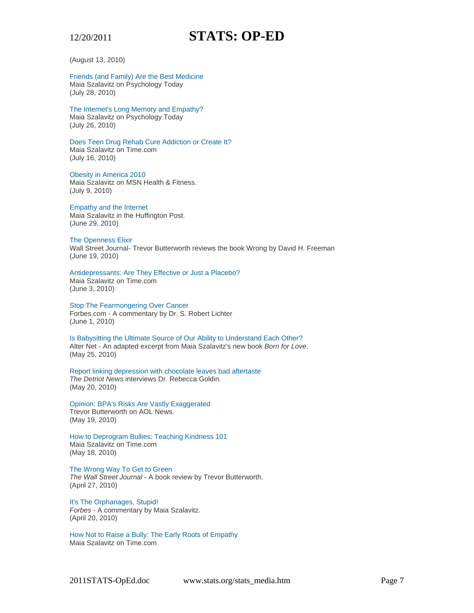(August 13, 2010)

Friends (and Family) Are the Best Medicine Maia Szalavitz on Psychology Today (July 28, 2010)

The Internet's Long Memory and Empathy? Maia Szalavitz on Psychology Today (July 26, 2010)

Does Teen Drug Rehab Cure Addiction or Create It? Maia Szalavitz on Time.com (July 16, 2010)

Obesity in America 2010 Maia Szalavitz on MSN Health & Fitness. (July 9, 2010)

Empathy and the Internet Maia Szalavitz in the Huffington Post. (June 29, 2010)

The Openness Elixir Wall Street Journal- Trevor Butterworth reviews the book Wrong by David H. Freeman (June 19, 2010)

Antidepressants: Are They Effective or Just a Placebo?

Maia Szalavitz on Time.com (June 3, 2010)

Stop The Fearmongering Over Cancer Forbes.com - A commentary by Dr. S. Robert Lichter (June 1, 2010)

Is Babysitting the Ultimate Source of Our Ability to Understand Each Other? Alter Net - An adapted excerpt from Maia Szalavitz's new book *Born for Love*. (May 25, 2010)

Report linking depression with chocolate leaves bad aftertaste *The Detriot News* interviews Dr. Rebecca Goldin. (May 20, 2010)

Opinion: BPA's Risks Are Vastly Exaggerated Trevor Butterworth on AOL News. (May 19, 2010)

How to Deprogram Bullies: Teaching Kindness 101 Maia Szalavitz on Time.com (May 18, 2010)

The Wrong Way To Get to Green *The Wall Street Journal* - A book review by Trevor Butterworth. (April 27, 2010)

It's The Orphanages, Stupid! *Forbes* - A commentary by Maia Szalavitz. (April 20, 2010)

How Not to Raise a Bully: The Early Roots of Empathy Maia Szalavitz on Time.com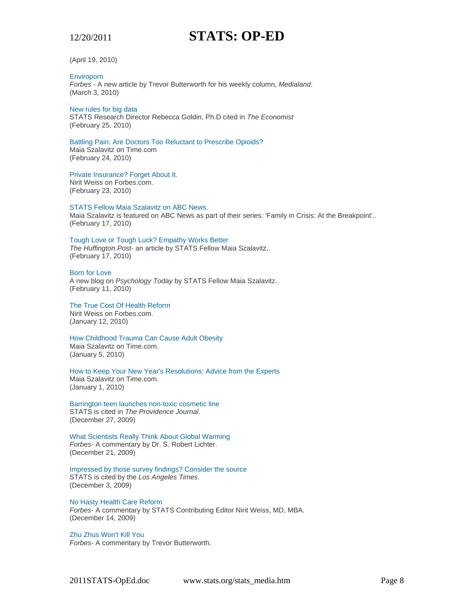(April 19, 2010)

# **Enviroporn**

*Forbes* - A new article by Trevor Butterworth for his weekly column, *Medialand*. (March 3, 2010)

# New rules for big data

STATS Research Director Rebecca Goldin, Ph.D cited in *The Economist* (February 25, 2010)

# Battling Pain: Are Doctors Too Reluctant to Prescribe Opioids?

Maia Szalavitz on Time.com (February 24, 2010)

# Private Insurance? Forget About It.

Nirit Weiss on Forbes.com. (February 23, 2010)

# STATS Fellow Maia Szalavitz on ABC News.

Maia Szalavitz is featured on ABC News as part of their series: 'Family in Crisis: At the Breakpoint'.. (February 17, 2010)

# Tough Love or Tough Luck? Empathy Works Better

*The Huffington Post*- an article by STATS Fellow Maia Szalavitz.. (February 17, 2010)

### Born for Love

A new blog on *Psychology Today* by STATS Fellow Maia Szalavitz.. (February 11, 2010)

#### The True Cost Of Health Reform Nirit Weiss on Forbes.com.

(January 12, 2010)

#### How Childhood Trauma Can Cause Adult Obesity Maia Szalavitz on Time.com.

(January 5, 2010)

#### How to Keep Your New Year's Resolutions: Advice from the Experts Maia Szalavitz on Time.com. (January 1, 2010)

Barrington teen launches non-toxic cosmetic line STATS is cited in *The Providence Journal*. (December 27, 2009)

### What Scientists Really Think About Global Warming *Forbes*- A commentary by Dr. S. Robert Lichter. (December 21, 2009)

Impressed by those survey findings? Consider the source STATS is cited by the *Los Angeles Times*. (December 3, 2009)

# No Hasty Health Care Reform

*Forbes*- A commentary by STATS Contributing Editor Nirit Weiss, MD, MBA. (December 14, 2009)

#### Zhu Zhus Won't Kill You *Forbes*- A commentary by Trevor Butterworth.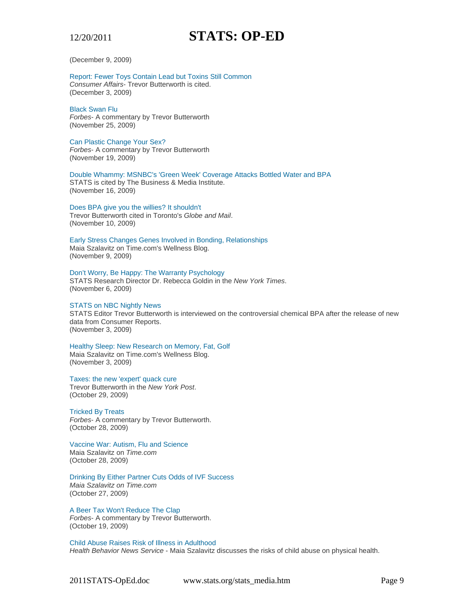(December 9, 2009)

Report: Fewer Toys Contain Lead but Toxins Still Common *Consumer Affairs*- Trevor Butterworth is cited. (December 3, 2009)

Black Swan Flu *Forbes*- A commentary by Trevor Butterworth (November 25, 2009)

Can Plastic Change Your Sex? *Forbes*- A commentary by Trevor Butterworth (November 19, 2009)

Double Whammy: MSNBC's 'Green Week' Coverage Attacks Bottled Water and BPA STATS is cited by The Business & Media Institute. (November 16, 2009)

Does BPA give you the willies? It shouldn't Trevor Butterworth cited in Toronto's *Globe and Mail*.

(November 10, 2009)

Early Stress Changes Genes Involved in Bonding, Relationships Maia Szalavitz on Time.com's Wellness Blog. (November 9, 2009)

Don't Worry, Be Happy: The Warranty Psychology STATS Research Director Dr. Rebecca Goldin in the *New York Times*. (November 6, 2009)

# STATS on NBC Nightly News

STATS Editor Trevor Butterworth is interviewed on the controversial chemical BPA after the release of new data from Consumer Reports. (November 3, 2009)

Healthy Sleep: New Research on Memory, Fat, Golf

Maia Szalavitz on Time.com's Wellness Blog. (November 3, 2009)

Taxes: the new 'expert' quack cure

Trevor Butterworth in the *New York Post*. (October 29, 2009)

Tricked By Treats

*Forbes*- A commentary by Trevor Butterworth. (October 28, 2009)

Vaccine War: Autism, Flu and Science Maia Szalavitz on *Time.com* (October 28, 2009)

Drinking By Either Partner Cuts Odds of IVF Success

*Maia Szalavitz on Time.com* (October 27, 2009)

A Beer Tax Won't Reduce The Clap *Forbes*- A commentary by Trevor Butterworth. (October 19, 2009)

Child Abuse Raises Risk of Illness in Adulthood *Health Behavior News Service* - Maia Szalavitz discusses the risks of child abuse on physical health.

2011STATS-OpEd.doc www.stats.org/stats\_media.htm Page 9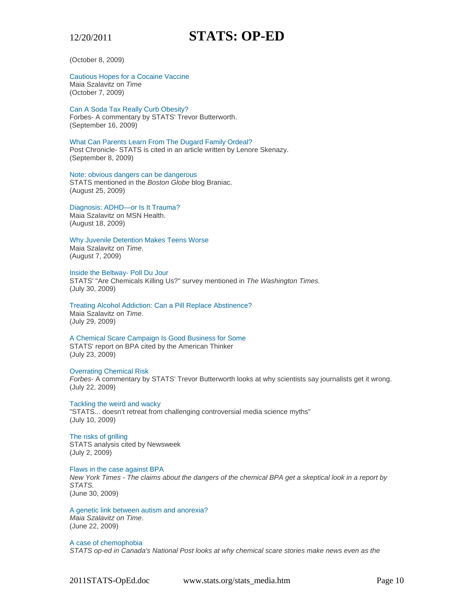(October 8, 2009)

# Cautious Hopes for a Cocaine Vaccine

Maia Szalavitz on *Time* (October 7, 2009)

### Can A Soda Tax Really Curb Obesity?

Forbes- A commentary by STATS' Trevor Butterworth. (September 16, 2009)

#### What Can Parents Learn From The Dugard Family Ordeal? Post Chronicle- STATS is cited in an article written by Lenore Skenazy. (September 8, 2009)

Note: obvious dangers can be dangerous STATS mentioned in the *Boston Globe* blog Braniac. (August 25, 2009)

# Diagnosis: ADHD—or Is It Trauma?

Maia Szalavitz on MSN Health. (August 18, 2009)

# Why Juvenile Detention Makes Teens Worse

Maia Szalavitz on *Time*. (August 7, 2009)

# Inside the Beltway- Poll Du Jour

STATS' "Are Chemicals Killing Us?" survey mentioned in *The Washington Times.* (July 30, 2009)

#### Treating Alcohol Addiction: Can a Pill Replace Abstinence? Maia Szalavitz on *Time*. (July 29, 2009)

# A Chemical Scare Campaign Is Good Business for Some STATS' report on BPA cited by the American Thinker (July 23, 2009)

# Overrating Chemical Risk

*Forbes*- A commentary by STATS' Trevor Butterworth looks at why scientists say journalists get it wrong. (July 22, 2009)

# Tackling the weird and wacky

"STATS... doesn't retreat from challenging controversial media science myths" (July 10, 2009)

# The risks of grilling

STATS analysis cited by Newsweek (July 2, 2009)

# Flaws in the case against BPA

*New York Times - The claims about the dangers of the chemical BPA get a skeptical look in a report by STATS.* 

(June 30, 2009)

# A genetic link between autism and anorexia?

*Maia Szalavitz on Time*. (June 22, 2009)

# A case of chemophobia *STATS op-ed in Canada's National Post looks at why chemical scare stories make news even as the*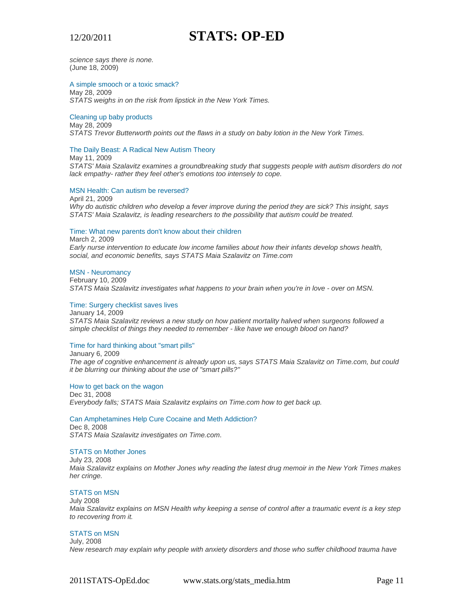#### *science says there is none.*  (June 18, 2009)

### A simple smooch or a toxic smack?

May 28, 2009 *STATS weighs in on the risk from lipstick in the New York Times.* 

### Cleaning up baby products

May 28, 2009

*STATS Trevor Butterworth points out the flaws in a study on baby lotion in the New York Times.*

#### The Daily Beast: A Radical New Autism Theory

May 11, 2009

*STATS' Maia Szalavitz examines a groundbreaking study that suggests people with autism disorders do not lack empathy- rather they feel other's emotions too intensely to cope.*

### MSN Health: Can autism be reversed?

April 21, 2009

*Why do autistic children who develop a fever improve during the period they are sick? This insight, says STATS' Maia Szalavitz, is leading researchers to the possibility that autism could be treated.*

#### Time: What new parents don't know about their children

March 2, 2009

*Early nurse intervention to educate low income families about how their infants develop shows health, social, and economic benefits, says STATS Maia Szalavitz on Time.com*

#### MSN - Neuromancy

February 10, 2009 *STATS Maia Szalavitz investigates what happens to your brain when you're in love - over on MSN.*

# Time: Surgery checklist saves lives

January 14, 2009 *STATS Maia Szalavitz reviews a new study on how patient mortality halved when surgeons followed a simple checklist of things they needed to remember - like have we enough blood on hand?*

### Time for hard thinking about "smart pills"

January 6, 2009

*The age of cognitive enhancement is already upon us, says STATS Maia Szalavitz on Time.com, but could it be blurring our thinking about the use of "smart pills?"*

# How to get back on the wagon

Dec 31, 2008 *Everybody falls; STATS Maia Szalavitz explains on Time.com how to get back up.*

# Can Amphetamines Help Cure Cocaine and Meth Addiction?

Dec 8, 2008 *STATS Maia Szalavitz investigates on Time.com*.

# STATS on Mother Jones

July 23, 2008 *Maia Szalavitz explains on Mother Jones why reading the latest drug memoir in the New York Times makes her cringe.* 

# STATS on MSN

July 2008 *Maia Szalavitz explains on MSN Health why keeping a sense of control after a traumatic event is a key step to recovering from it.* 

# STATS on MSN

July, 2008 *New research may explain why people with anxiety disorders and those who suffer childhood trauma have*